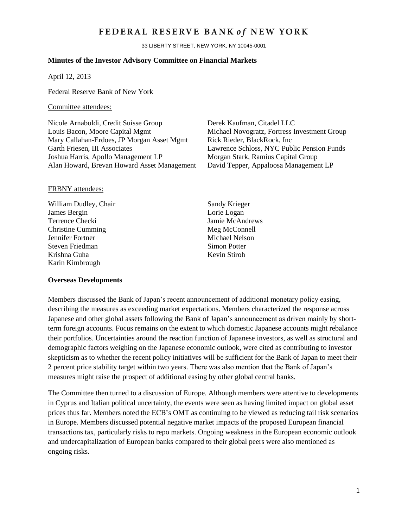## FEDERAL RESERVE BANK of NEW YORK

33 LIBERTY STREET, NEW YORK, NY 10045-0001

#### **Minutes of the Investor Advisory Committee on Financial Markets**

April 12, 2013

Federal Reserve Bank of New York

### Committee attendees:

Nicole Arnaboldi, Credit Suisse Group Derek Kaufman, Citadel LLC Louis Bacon, Moore Capital Mgmt Michael Novogratz, Fortress Investment Group Mary Callahan-Erdoes, JP Morgan Asset Mgmt Rick Rieder, BlackRock, Inc. Garth Friesen, III Associates Lawrence Schloss, NYC Public Pension Funds Joshua Harris, Apollo Management LP Morgan Stark, Ramius Capital Group Alan Howard, Brevan Howard Asset Management David Tepper, Appaloosa Management LP

#### FRBNY attendees:

William Dudley, Chair Sandy Krieger James Bergin Lorie Logan Terrence Checki Jamie McAndrews Christine Cumming Meg McConnell Jennifer Fortner Michael Nelson<br>Steven Friedman Michael Nelson<br>Simon Potter Steven Friedman Krishna Guha Kevin Stiroh Karin Kimbrough

#### **Overseas Developments**

Members discussed the Bank of Japan's recent announcement of additional monetary policy easing, describing the measures as exceeding market expectations. Members characterized the response across Japanese and other global assets following the Bank of Japan's announcement as driven mainly by shortterm foreign accounts. Focus remains on the extent to which domestic Japanese accounts might rebalance their portfolios. Uncertainties around the reaction function of Japanese investors, as well as structural and demographic factors weighing on the Japanese economic outlook, were cited as contributing to investor skepticism as to whether the recent policy initiatives will be sufficient for the Bank of Japan to meet their 2 percent price stability target within two years. There was also mention that the Bank of Japan's measures might raise the prospect of additional easing by other global central banks.

The Committee then turned to a discussion of Europe. Although members were attentive to developments in Cyprus and Italian political uncertainty, the events were seen as having limited impact on global asset prices thus far. Members noted the ECB's OMT as continuing to be viewed as reducing tail risk scenarios in Europe. Members discussed potential negative market impacts of the proposed European financial transactions tax, particularly risks to repo markets. Ongoing weakness in the European economic outlook and undercapitalization of European banks compared to their global peers were also mentioned as ongoing risks.